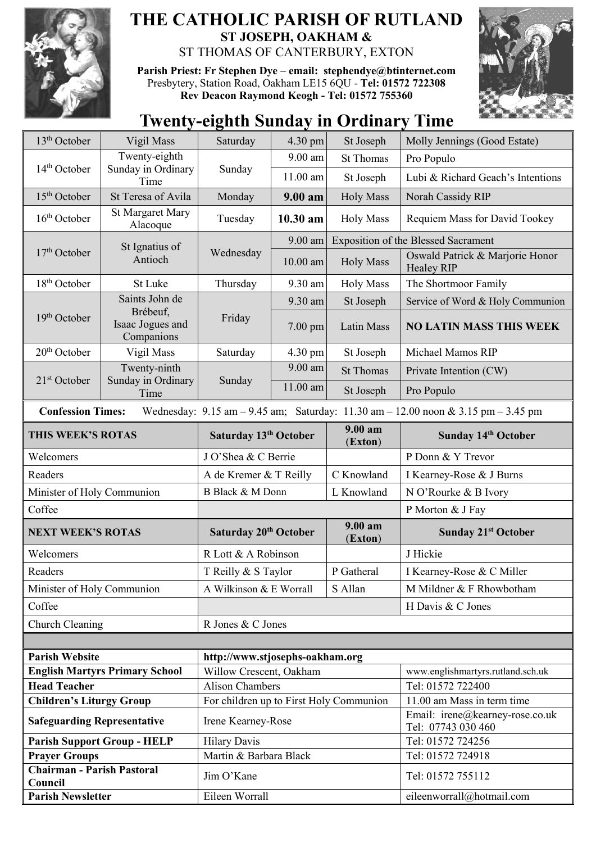

## **THE CATHOLIC PARISH OF RUTLAND ST JOSEPH, OAKHAM &**  ST THOMAS OF CANTERBURY, EXTON

**Parish Priest: Fr Stephen Dye** – **[email: stephendye@btinternet.com](mailto:email:%20%20stephendye@btinternet.com)** Presbytery, Station Road, Oakham LE15 6QU - **Tel: 01572 722308 Rev Deacon Raymond Keogh - Tel: 01572 755360**



## **Twenty-eighth Sunday in Ordinary Time**

| 13 <sup>th</sup> October                                                                                                                                            | Vigil Mass                                                   | Saturday                                | $4.30 \text{ pm}$ | St Joseph                      | Molly Jennings (Good Estate)                                  |  |
|---------------------------------------------------------------------------------------------------------------------------------------------------------------------|--------------------------------------------------------------|-----------------------------------------|-------------------|--------------------------------|---------------------------------------------------------------|--|
| $14th$ October                                                                                                                                                      | Twenty-eighth<br>Sunday in Ordinary<br>Time                  | Sunday                                  | $9.00$ am         | <b>St Thomas</b>               | Pro Populo                                                    |  |
|                                                                                                                                                                     |                                                              |                                         | 11.00 am          | St Joseph                      | Lubi & Richard Geach's Intentions                             |  |
| $15th$ October                                                                                                                                                      | St Teresa of Avila                                           | Monday                                  | 9.00 am           | <b>Holy Mass</b>               | Norah Cassidy RIP                                             |  |
| $16th$ October                                                                                                                                                      | <b>St Margaret Mary</b><br>Alacoque                          | Tuesday                                 | 10.30 am          | <b>Holy Mass</b>               | Requiem Mass for David Tookey                                 |  |
| $17th$ October                                                                                                                                                      | St Ignatius of<br>Antioch                                    | Wednesday                               | 9.00 am           |                                | <b>Exposition of the Blessed Sacrament</b>                    |  |
|                                                                                                                                                                     |                                                              |                                         | $10.00$ am        | <b>Holy Mass</b>               | Oswald Patrick & Marjorie Honor<br><b>Healey RIP</b>          |  |
| $18th$ October                                                                                                                                                      | St Luke                                                      | Thursday                                | 9.30 am           | <b>Holy Mass</b>               | The Shortmoor Family                                          |  |
| 19 <sup>th</sup> October                                                                                                                                            | Saints John de<br>Brébeuf,<br>Isaac Jogues and<br>Companions | Friday                                  | 9.30 am           | St Joseph                      | Service of Word & Holy Communion                              |  |
|                                                                                                                                                                     |                                                              |                                         | $7.00$ pm         | Latin Mass                     | <b>NO LATIN MASS THIS WEEK</b>                                |  |
| 20 <sup>th</sup> October                                                                                                                                            | Vigil Mass                                                   | Saturday                                | 4.30 pm           | St Joseph                      | Michael Mamos RIP                                             |  |
| $21st$ October                                                                                                                                                      | Twenty-ninth<br>Sunday in Ordinary<br>Time                   | Sunday                                  | $9.00$ am         | <b>St Thomas</b>               | Private Intention (CW)                                        |  |
|                                                                                                                                                                     |                                                              |                                         | 11.00 am          | St Joseph                      | Pro Populo                                                    |  |
| <b>Confession Times:</b><br>Wednesday: $9.15 \text{ am} - 9.45 \text{ am}$ ; Saturday: $11.30 \text{ am} - 12.00 \text{ noon} \& 3.15 \text{ pm} - 3.45 \text{ pm}$ |                                                              |                                         |                   |                                |                                                               |  |
| THIS WEEK'S ROTAS                                                                                                                                                   |                                                              | Saturday 13 <sup>th</sup> October       |                   | 9.00 a <sub>m</sub><br>(Exton) | Sunday 14th October                                           |  |
| Welcomers                                                                                                                                                           |                                                              | J O'Shea & C Berrie                     |                   |                                | P Donn & Y Trevor                                             |  |
| Readers                                                                                                                                                             |                                                              | A de Kremer & T Reilly                  |                   | C Knowland                     | I Kearney-Rose & J Burns                                      |  |
| Minister of Holy Communion                                                                                                                                          |                                                              | B Black & M Donn                        |                   | L Knowland                     | N O'Rourke & B Ivory                                          |  |
| Coffee                                                                                                                                                              |                                                              |                                         |                   |                                | P Morton & J Fay                                              |  |
| <b>NEXT WEEK'S ROTAS</b>                                                                                                                                            |                                                              | Saturday 20 <sup>th</sup> October       |                   | 9.00 am<br>(Exton)             | <b>Sunday 21st October</b>                                    |  |
| Welcomers                                                                                                                                                           |                                                              | R Lott & A Robinson                     |                   |                                | J Hickie                                                      |  |
| Readers                                                                                                                                                             |                                                              | T Reilly & S Taylor                     |                   | P Gatheral                     | I Kearney-Rose & C Miller                                     |  |
| Minister of Holy Communion                                                                                                                                          |                                                              | A Wilkinson & E Worrall<br>S Allan      |                   |                                | M Mildner & F Rhowbotham                                      |  |
| Coffee                                                                                                                                                              |                                                              |                                         |                   |                                | H Davis & C Jones                                             |  |
| Church Cleaning                                                                                                                                                     |                                                              | R Jones & C Jones                       |                   |                                |                                                               |  |
|                                                                                                                                                                     |                                                              |                                         |                   |                                |                                                               |  |
| <b>Parish Website</b>                                                                                                                                               |                                                              | http://www.stjosephs-oakham.org         |                   |                                |                                                               |  |
| <b>English Martyrs Primary School</b>                                                                                                                               |                                                              | Willow Crescent, Oakham                 |                   |                                | www.englishmartyrs.rutland.sch.uk                             |  |
| <b>Head Teacher</b>                                                                                                                                                 |                                                              | <b>Alison Chambers</b>                  |                   |                                | Tel: 01572 722400                                             |  |
| <b>Children's Liturgy Group</b>                                                                                                                                     |                                                              | For children up to First Holy Communion |                   |                                | 11.00 am Mass in term time<br>Email: irene@kearney-rose.co.uk |  |
| <b>Safeguarding Representative</b>                                                                                                                                  |                                                              | Irene Kearney-Rose                      |                   |                                | Tel: 07743 030 460                                            |  |
| <b>Parish Support Group - HELP</b>                                                                                                                                  |                                                              | <b>Hilary Davis</b>                     |                   |                                | Tel: 01572 724256                                             |  |
| <b>Prayer Groups</b>                                                                                                                                                |                                                              | Martin & Barbara Black                  |                   |                                | Tel: 01572 724918                                             |  |
| <b>Chairman - Parish Pastoral</b><br>Council                                                                                                                        |                                                              | Jim O'Kane                              |                   |                                | Tel: 01572 755112                                             |  |
| <b>Parish Newsletter</b>                                                                                                                                            |                                                              | Eileen Worrall                          |                   |                                | eileenworrall@hotmail.com                                     |  |